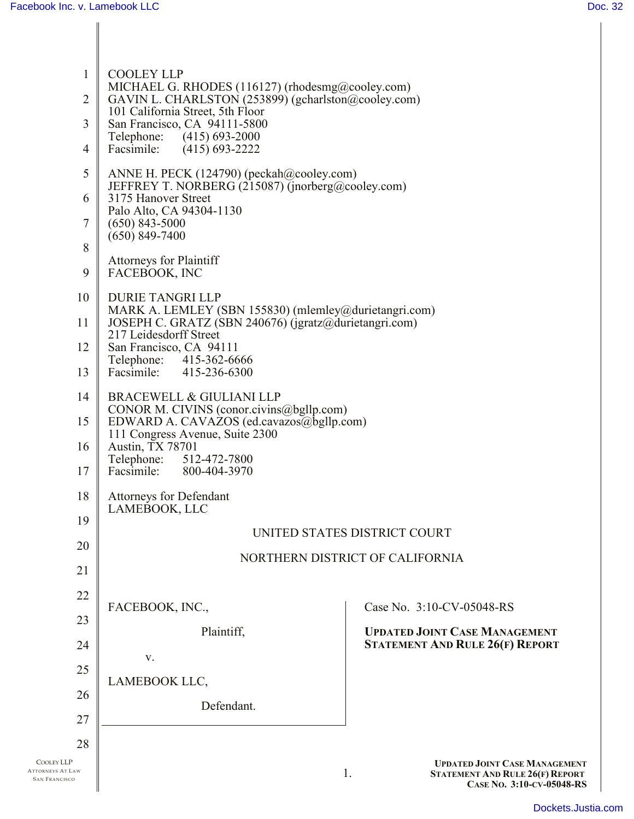| $\mathbf{1}$<br>$\overline{2}$<br>3<br>$\overline{4}$<br>5<br>6<br>7<br>8<br>9<br>10<br>11 | <b>COOLEY LLP</b><br>MICHAEL G. RHODES (116127) (rhodesmg@cooley.com)<br>GAVIN L. CHARLSTON (253899) (gcharlston@cooley.com)<br>101 California Street, 5th Floor<br>San Francisco, CA 94111-5800<br>Telephone:<br>$(415)$ 693-2000<br>Facsimile:<br>$(415)$ 693-2222<br>ANNE H. PECK (124790) (peckah@cooley.com)<br>JEFFREY T. NORBERG (215087) (jnorberg@cooley.com)<br>3175 Hanover Street<br>Palo Alto, CA 94304-1130<br>$(650)$ 843-5000<br>$(650)$ 849-7400<br><b>Attorneys for Plaintiff</b><br>FACEBOOK, INC<br><b>DURIE TANGRI LLP</b><br>MARK A. LEMLEY (SBN 155830) (mlemley@durietangri.com)<br>JOSEPH C. GRATZ (SBN 240676) (jgratz@durietangri.com) |                                                                                                                   |  |  |
|--------------------------------------------------------------------------------------------|-------------------------------------------------------------------------------------------------------------------------------------------------------------------------------------------------------------------------------------------------------------------------------------------------------------------------------------------------------------------------------------------------------------------------------------------------------------------------------------------------------------------------------------------------------------------------------------------------------------------------------------------------------------------|-------------------------------------------------------------------------------------------------------------------|--|--|
| 12<br>13                                                                                   | 217 Leidesdorff Street<br>San Francisco, CA 94111<br>Telephone: 415-362-6666<br>Facsimile: 415-236-6300                                                                                                                                                                                                                                                                                                                                                                                                                                                                                                                                                           |                                                                                                                   |  |  |
| 14<br>15<br>16<br>17                                                                       | BRACEWELL & GIULIANI LLP<br>CONOR M. CIVINS (conor.civins@bgllp.com)<br>EDWARD A. CAVAZOS (ed.cavazos@bgllp.com)<br>111 Congress Avenue, Suite 2300<br>Austin, TX 78701<br>Telephone: 512-472-7800<br>Facsimile: 800-404-3970                                                                                                                                                                                                                                                                                                                                                                                                                                     |                                                                                                                   |  |  |
| 18<br>19                                                                                   | <b>Attorneys for Defendant</b><br>LAMEBOOK, LLC                                                                                                                                                                                                                                                                                                                                                                                                                                                                                                                                                                                                                   |                                                                                                                   |  |  |
|                                                                                            | UNITED STATES DISTRICT COURT                                                                                                                                                                                                                                                                                                                                                                                                                                                                                                                                                                                                                                      |                                                                                                                   |  |  |
| 20<br>21                                                                                   | NORTHERN DISTRICT OF CALIFORNIA                                                                                                                                                                                                                                                                                                                                                                                                                                                                                                                                                                                                                                   |                                                                                                                   |  |  |
| 22                                                                                         |                                                                                                                                                                                                                                                                                                                                                                                                                                                                                                                                                                                                                                                                   |                                                                                                                   |  |  |
| 23                                                                                         | FACEBOOK, INC.,                                                                                                                                                                                                                                                                                                                                                                                                                                                                                                                                                                                                                                                   | Case No. 3:10-CV-05048-RS                                                                                         |  |  |
| 24                                                                                         | Plaintiff,                                                                                                                                                                                                                                                                                                                                                                                                                                                                                                                                                                                                                                                        | <b>UPDATED JOINT CASE MANAGEMENT</b><br><b>STATEMENT AND RULE 26(F) REPORT</b>                                    |  |  |
| 25                                                                                         | V.                                                                                                                                                                                                                                                                                                                                                                                                                                                                                                                                                                                                                                                                |                                                                                                                   |  |  |
| 26                                                                                         | LAMEBOOK LLC,                                                                                                                                                                                                                                                                                                                                                                                                                                                                                                                                                                                                                                                     |                                                                                                                   |  |  |
| 27                                                                                         | Defendant.                                                                                                                                                                                                                                                                                                                                                                                                                                                                                                                                                                                                                                                        |                                                                                                                   |  |  |
| 28                                                                                         |                                                                                                                                                                                                                                                                                                                                                                                                                                                                                                                                                                                                                                                                   |                                                                                                                   |  |  |
| <b>COOLEY LLP</b><br><b>ATTORNEYS AT LAW</b><br><b>SAN FRANCISCO</b>                       |                                                                                                                                                                                                                                                                                                                                                                                                                                                                                                                                                                                                                                                                   | <b>UPDATED JOINT CASE MANAGEMENT</b><br>1.<br><b>STATEMENT AND RULE 26(F) REPORT</b><br>CASE No. 3:10-CV-05048-RS |  |  |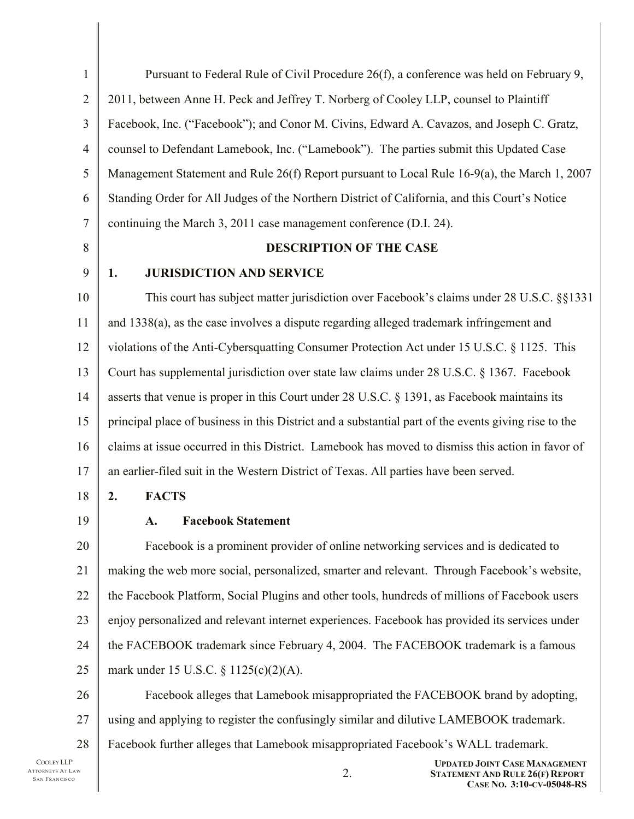| $\mathbf{1}$   | Pursuant to Federal Rule of Civil Procedure 26(f), a conference was held on February 9,                           |  |  |
|----------------|-------------------------------------------------------------------------------------------------------------------|--|--|
| $\overline{2}$ | 2011, between Anne H. Peck and Jeffrey T. Norberg of Cooley LLP, counsel to Plaintiff                             |  |  |
| 3              | Facebook, Inc. ("Facebook"); and Conor M. Civins, Edward A. Cavazos, and Joseph C. Gratz,                         |  |  |
| $\overline{4}$ | counsel to Defendant Lamebook, Inc. ("Lamebook"). The parties submit this Updated Case                            |  |  |
| 5              | Management Statement and Rule 26(f) Report pursuant to Local Rule 16-9(a), the March 1, 2007                      |  |  |
| 6              | Standing Order for All Judges of the Northern District of California, and this Court's Notice                     |  |  |
| $\overline{7}$ | continuing the March 3, 2011 case management conference (D.I. 24).                                                |  |  |
| 8              | DESCRIPTION OF THE CASE                                                                                           |  |  |
| 9              | <b>JURISDICTION AND SERVICE</b><br>1.                                                                             |  |  |
| 10             | This court has subject matter jurisdiction over Facebook's claims under 28 U.S.C. §§1331                          |  |  |
| 11             | and 1338(a), as the case involves a dispute regarding alleged trademark infringement and                          |  |  |
| 12             | violations of the Anti-Cybersquatting Consumer Protection Act under 15 U.S.C. § 1125. This                        |  |  |
| 13             | Court has supplemental jurisdiction over state law claims under 28 U.S.C. § 1367. Facebook                        |  |  |
| 14             | asserts that venue is proper in this Court under 28 U.S.C. § 1391, as Facebook maintains its                      |  |  |
| 15             | principal place of business in this District and a substantial part of the events giving rise to the              |  |  |
| 16             | claims at issue occurred in this District. Lamebook has moved to dismiss this action in favor of                  |  |  |
| 17             | an earlier-filed suit in the Western District of Texas. All parties have been served.                             |  |  |
| 18             | <b>FACTS</b><br>2.                                                                                                |  |  |
| 19             | <b>Facebook Statement</b><br><b>A.</b>                                                                            |  |  |
| 20             | Facebook is a prominent provider of online networking services and is dedicated to                                |  |  |
| 21             | making the web more social, personalized, smarter and relevant. Through Facebook's website,                       |  |  |
| 22             | the Facebook Platform, Social Plugins and other tools, hundreds of millions of Facebook users                     |  |  |
| 23             | enjoy personalized and relevant internet experiences. Facebook has provided its services under                    |  |  |
| 24             | the FACEBOOK trademark since February 4, 2004. The FACEBOOK trademark is a famous                                 |  |  |
| 25             | mark under 15 U.S.C. § 1125(c)(2)(A).                                                                             |  |  |
| 26             | Facebook alleges that Lamebook misappropriated the FACEBOOK brand by adopting,                                    |  |  |
| 27             | using and applying to register the confusingly similar and dilutive LAMEBOOK trademark.                           |  |  |
| 28             | Facebook further alleges that Lamebook misappropriated Facebook's WALL trademark.                                 |  |  |
| ١W             | <b>UPDATED JOINT CASE MANAGEMENT</b><br>2.<br><b>STATEMENT AND RULE 26(F) REPORT</b><br>CASE No. 3:10-CV-05048-RS |  |  |

COOLEY LLP ATTORNEYS AT LA SAN FRANCISCO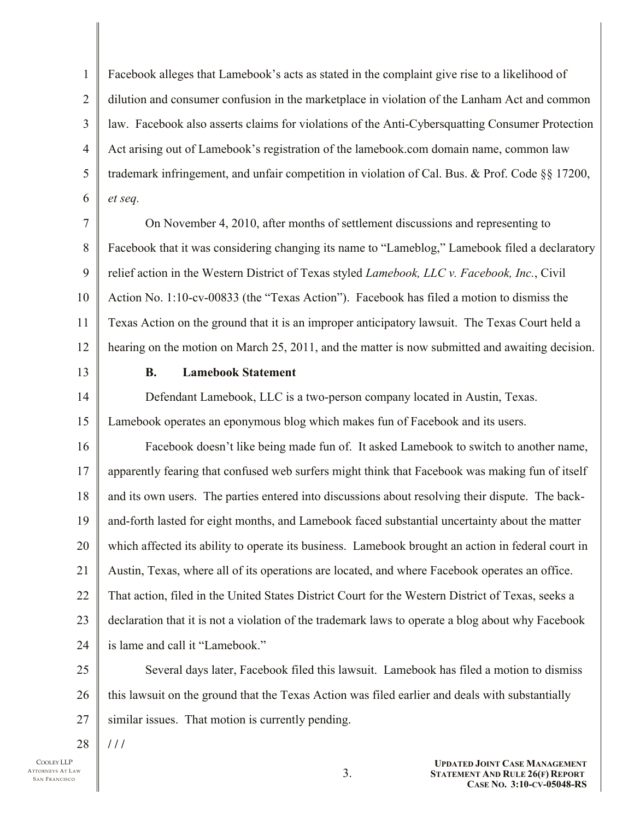1 2 3 4 5 6 Facebook alleges that Lamebook's acts as stated in the complaint give rise to a likelihood of dilution and consumer confusion in the marketplace in violation of the Lanham Act and common law. Facebook also asserts claims for violations of the Anti-Cybersquatting Consumer Protection Act arising out of Lamebook's registration of the lamebook.com domain name, common law trademark infringement, and unfair competition in violation of Cal. Bus. & Prof. Code §§ 17200, *et seq.*

7 8 9 10 11 12 On November 4, 2010, after months of settlement discussions and representing to Facebook that it was considering changing its name to "Lameblog," Lamebook filed a declaratory relief action in the Western District of Texas styled *Lamebook, LLC v. Facebook, Inc.*, Civil Action No. 1:10-cv-00833 (the "Texas Action"). Facebook has filed a motion to dismiss the Texas Action on the ground that it is an improper anticipatory lawsuit. The Texas Court held a hearing on the motion on March 25, 2011, and the matter is now submitted and awaiting decision.

13

#### **B. Lamebook Statement**

14 15 Defendant Lamebook, LLC is a two-person company located in Austin, Texas. Lamebook operates an eponymous blog which makes fun of Facebook and its users.

16 17 18 19 20 21 22 23 24 Facebook doesn't like being made fun of. It asked Lamebook to switch to another name, apparently fearing that confused web surfers might think that Facebook was making fun of itself and its own users. The parties entered into discussions about resolving their dispute. The backand-forth lasted for eight months, and Lamebook faced substantial uncertainty about the matter which affected its ability to operate its business. Lamebook brought an action in federal court in Austin, Texas, where all of its operations are located, and where Facebook operates an office. That action, filed in the United States District Court for the Western District of Texas, seeks a declaration that it is not a violation of the trademark laws to operate a blog about why Facebook is lame and call it "Lamebook."

25 26 27 Several days later, Facebook filed this lawsuit. Lamebook has filed a motion to dismiss this lawsuit on the ground that the Texas Action was filed earlier and deals with substantially similar issues. That motion is currently pending.

28 **/ / /**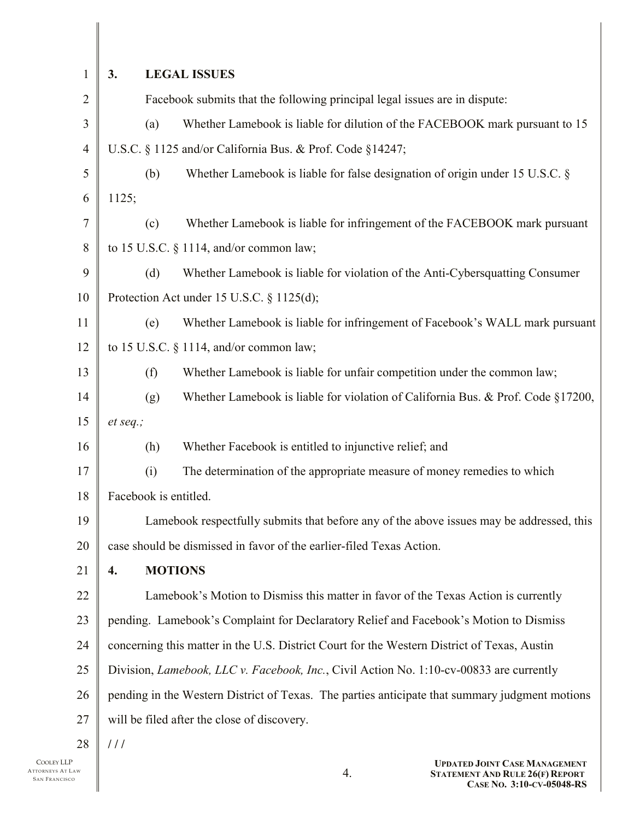| 1              | 3.                                                                                             |                | <b>LEGAL ISSUES</b>                                                                         |
|----------------|------------------------------------------------------------------------------------------------|----------------|---------------------------------------------------------------------------------------------|
| $\overline{2}$ |                                                                                                |                | Facebook submits that the following principal legal issues are in dispute:                  |
| 3              |                                                                                                | (a)            | Whether Lamebook is liable for dilution of the FACEBOOK mark pursuant to 15                 |
| $\overline{4}$ |                                                                                                |                | U.S.C. § 1125 and/or California Bus. & Prof. Code §14247;                                   |
| 5              |                                                                                                | (b)            | Whether Lamebook is liable for false designation of origin under 15 U.S.C. §                |
| 6              | 1125;                                                                                          |                |                                                                                             |
| 7              |                                                                                                | (c)            | Whether Lamebook is liable for infringement of the FACEBOOK mark pursuant                   |
| 8              |                                                                                                |                | to 15 U.S.C. § 1114, and/or common law;                                                     |
| 9              |                                                                                                | (d)            | Whether Lamebook is liable for violation of the Anti-Cybersquatting Consumer                |
| 10             |                                                                                                |                | Protection Act under 15 U.S.C. § 1125(d);                                                   |
| 11             |                                                                                                | (e)            | Whether Lamebook is liable for infringement of Facebook's WALL mark pursuant                |
| 12             |                                                                                                |                | to 15 U.S.C. § 1114, and/or common law;                                                     |
| 13             |                                                                                                | (f)            | Whether Lamebook is liable for unfair competition under the common law;                     |
| 14             |                                                                                                | (g)            | Whether Lamebook is liable for violation of California Bus. & Prof. Code §17200,            |
| 15             | et seq.;                                                                                       |                |                                                                                             |
| 16             |                                                                                                | (h)            | Whether Facebook is entitled to injunctive relief; and                                      |
| 17             |                                                                                                | (i)            | The determination of the appropriate measure of money remedies to which                     |
| 18             | Facebook is entitled.                                                                          |                |                                                                                             |
| 19             |                                                                                                |                | Lamebook respectfully submits that before any of the above issues may be addressed, this    |
| 20             |                                                                                                |                | case should be dismissed in favor of the earlier-filed Texas Action.                        |
| 21             | 4.                                                                                             | <b>MOTIONS</b> |                                                                                             |
| 22             |                                                                                                |                | Lamebook's Motion to Dismiss this matter in favor of the Texas Action is currently          |
| 23             |                                                                                                |                | pending. Lamebook's Complaint for Declaratory Relief and Facebook's Motion to Dismiss       |
| 24             |                                                                                                |                | concerning this matter in the U.S. District Court for the Western District of Texas, Austin |
| 25             |                                                                                                |                | Division, Lamebook, LLC v. Facebook, Inc., Civil Action No. 1:10-cv-00833 are currently     |
| 26             | pending in the Western District of Texas. The parties anticipate that summary judgment motions |                |                                                                                             |
| 27             |                                                                                                |                | will be filed after the close of discovery.                                                 |
| 28             | 111                                                                                            |                |                                                                                             |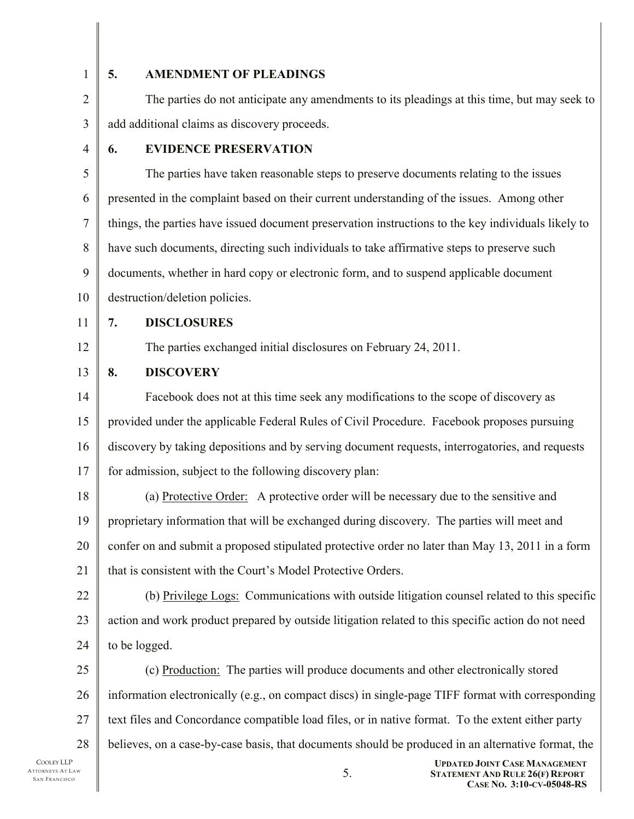1

### **5. AMENDMENT OF PLEADINGS**

2 3 The parties do not anticipate any amendments to its pleadings at this time, but may seek to add additional claims as discovery proceeds.

4

## **6. EVIDENCE PRESERVATION**

5 6 7 8 9 10 The parties have taken reasonable steps to preserve documents relating to the issues presented in the complaint based on their current understanding of the issues. Among other things, the parties have issued document preservation instructions to the key individuals likely to have such documents, directing such individuals to take affirmative steps to preserve such documents, whether in hard copy or electronic form, and to suspend applicable document destruction/deletion policies.

11

12

**7. DISCLOSURES**

The parties exchanged initial disclosures on February 24, 2011.

13 **8. DISCOVERY** 

14 15 16 17 Facebook does not at this time seek any modifications to the scope of discovery as provided under the applicable Federal Rules of Civil Procedure. Facebook proposes pursuing discovery by taking depositions and by serving document requests, interrogatories, and requests for admission, subject to the following discovery plan:

18 19 20 21 (a) Protective Order: A protective order will be necessary due to the sensitive and proprietary information that will be exchanged during discovery. The parties will meet and confer on and submit a proposed stipulated protective order no later than May 13, 2011 in a form that is consistent with the Court's Model Protective Orders.

22 23 24 (b) Privilege Logs: Communications with outside litigation counsel related to this specific action and work product prepared by outside litigation related to this specific action do not need to be logged.

25 26 27 28 (c) Production: The parties will produce documents and other electronically stored information electronically (e.g., on compact discs) in single-page TIFF format with corresponding text files and Concordance compatible load files, or in native format. To the extent either party believes, on a case-by-case basis, that documents should be produced in an alternative format, the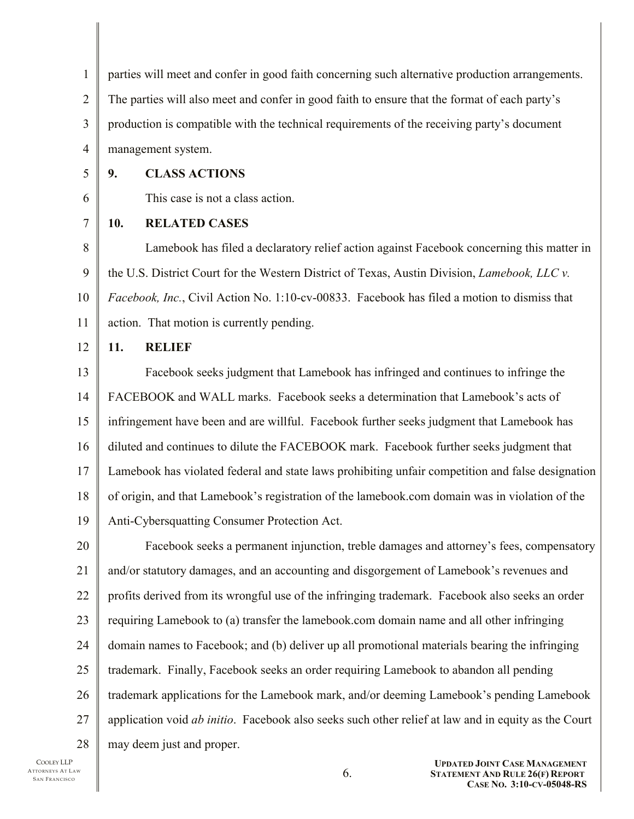1 2 3 4 parties will meet and confer in good faith concerning such alternative production arrangements. The parties will also meet and confer in good faith to ensure that the format of each party's production is compatible with the technical requirements of the receiving party's document management system.

5

## **9. CLASS ACTIONS**

This case is not a class action.

7

6

# **10. RELATED CASES**

8 9 10 11 Lamebook has filed a declaratory relief action against Facebook concerning this matter in the U.S. District Court for the Western District of Texas, Austin Division, *Lamebook, LLC v. Facebook, Inc.*, Civil Action No. 1:10-cv-00833. Facebook has filed a motion to dismiss that action. That motion is currently pending.

#### 12 **11. RELIEF**

13 14 15 16 17 18 19 Facebook seeks judgment that Lamebook has infringed and continues to infringe the FACEBOOK and WALL marks. Facebook seeks a determination that Lamebook's acts of infringement have been and are willful. Facebook further seeks judgment that Lamebook has diluted and continues to dilute the FACEBOOK mark. Facebook further seeks judgment that Lamebook has violated federal and state laws prohibiting unfair competition and false designation of origin, and that Lamebook's registration of the lamebook.com domain was in violation of the Anti-Cybersquatting Consumer Protection Act.

20 21 22 23 24 25 26 27 28 Facebook seeks a permanent injunction, treble damages and attorney's fees, compensatory and/or statutory damages, and an accounting and disgorgement of Lamebook's revenues and profits derived from its wrongful use of the infringing trademark. Facebook also seeks an order requiring Lamebook to (a) transfer the lamebook.com domain name and all other infringing domain names to Facebook; and (b) deliver up all promotional materials bearing the infringing trademark. Finally, Facebook seeks an order requiring Lamebook to abandon all pending trademark applications for the Lamebook mark, and/or deeming Lamebook's pending Lamebook application void *ab initio*. Facebook also seeks such other relief at law and in equity as the Court may deem just and proper.

COOLEY LLP ATTORNEYS AT LAW SAN FRANCISCO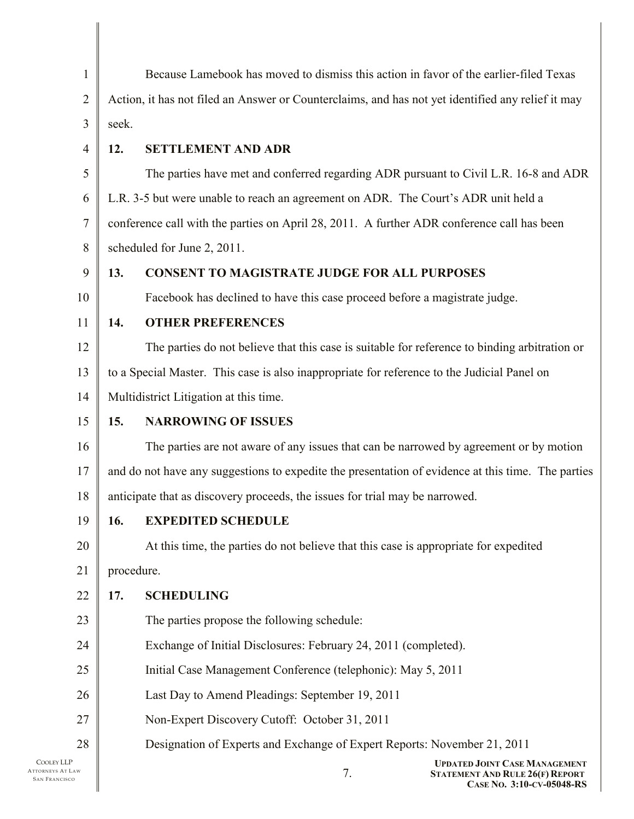| $\mathbf{1}$   | Because Lamebook has moved to dismiss this action in favor of the earlier-filed Texas             |                                                                                                    |  |
|----------------|---------------------------------------------------------------------------------------------------|----------------------------------------------------------------------------------------------------|--|
| $\overline{2}$ | Action, it has not filed an Answer or Counterclaims, and has not yet identified any relief it may |                                                                                                    |  |
| 3              | seek.                                                                                             |                                                                                                    |  |
| $\overline{4}$ | 12.                                                                                               | <b>SETTLEMENT AND ADR</b>                                                                          |  |
| 5              |                                                                                                   | The parties have met and conferred regarding ADR pursuant to Civil L.R. 16-8 and ADR               |  |
| 6              |                                                                                                   | L.R. 3-5 but were unable to reach an agreement on ADR. The Court's ADR unit held a                 |  |
| $\tau$         | conference call with the parties on April 28, 2011. A further ADR conference call has been        |                                                                                                    |  |
| 8              | scheduled for June 2, 2011.                                                                       |                                                                                                    |  |
| 9              | 13.<br><b>CONSENT TO MAGISTRATE JUDGE FOR ALL PURPOSES</b>                                        |                                                                                                    |  |
| 10             |                                                                                                   | Facebook has declined to have this case proceed before a magistrate judge.                         |  |
| 11             | 14.                                                                                               | <b>OTHER PREFERENCES</b>                                                                           |  |
| 12             |                                                                                                   | The parties do not believe that this case is suitable for reference to binding arbitration or      |  |
| 13             | to a Special Master. This case is also inappropriate for reference to the Judicial Panel on       |                                                                                                    |  |
| 14             | Multidistrict Litigation at this time.                                                            |                                                                                                    |  |
| 15             | 15.                                                                                               | <b>NARROWING OF ISSUES</b>                                                                         |  |
| 16             |                                                                                                   | The parties are not aware of any issues that can be narrowed by agreement or by motion             |  |
| 17             |                                                                                                   | and do not have any suggestions to expedite the presentation of evidence at this time. The parties |  |
| 18             |                                                                                                   | anticipate that as discovery proceeds, the issues for trial may be narrowed.                       |  |
| 19             | 16.                                                                                               | <b>EXPEDITED SCHEDULE</b>                                                                          |  |
| 20             |                                                                                                   | At this time, the parties do not believe that this case is appropriate for expedited               |  |
| 21             | procedure.                                                                                        |                                                                                                    |  |
| 22             | 17.                                                                                               | <b>SCHEDULING</b>                                                                                  |  |
| 23             |                                                                                                   | The parties propose the following schedule:                                                        |  |
| 24             |                                                                                                   | Exchange of Initial Disclosures: February 24, 2011 (completed).                                    |  |
| 25             |                                                                                                   | Initial Case Management Conference (telephonic): May 5, 2011                                       |  |
| 26             |                                                                                                   | Last Day to Amend Pleadings: September 19, 2011                                                    |  |
| 27             |                                                                                                   | Non-Expert Discovery Cutoff: October 31, 2011                                                      |  |
| 28             |                                                                                                   | Designation of Experts and Exchange of Expert Reports: November 21, 2011                           |  |
| AW             |                                                                                                   | <b>UPDATED JOINT CASE MANAGEMENT</b><br>7.<br><b>STATEMENT AND RULE 26(F) REPORT</b>               |  |

 $\mathsf{I}$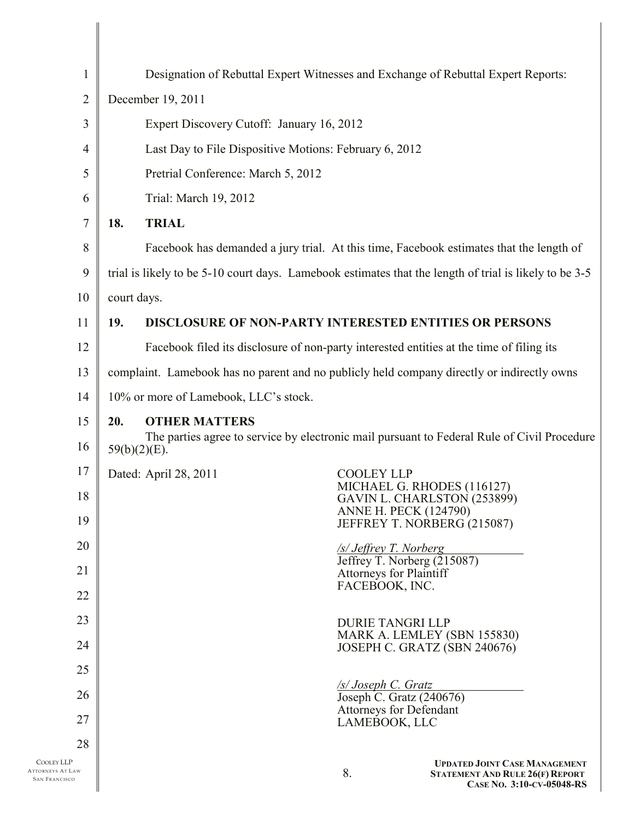| $\mathbf{1}$                                    | Designation of Rebuttal Expert Witnesses and Exchange of Rebuttal Expert Reports:                              |                                                                     |
|-------------------------------------------------|----------------------------------------------------------------------------------------------------------------|---------------------------------------------------------------------|
| $\overline{2}$                                  | December 19, 2011                                                                                              |                                                                     |
| 3                                               | Expert Discovery Cutoff: January 16, 2012                                                                      |                                                                     |
| $\overline{4}$                                  | Last Day to File Dispositive Motions: February 6, 2012                                                         |                                                                     |
| 5                                               | Pretrial Conference: March 5, 2012                                                                             |                                                                     |
| 6                                               | Trial: March 19, 2012                                                                                          |                                                                     |
| $\overline{7}$                                  | <b>TRIAL</b><br>18.                                                                                            |                                                                     |
| 8                                               | Facebook has demanded a jury trial. At this time, Facebook estimates that the length of                        |                                                                     |
| 9                                               | trial is likely to be 5-10 court days. Lamebook estimates that the length of trial is likely to be 3-5         |                                                                     |
| 10                                              | court days.                                                                                                    |                                                                     |
| 11                                              | 19.<br><b>DISCLOSURE OF NON-PARTY INTERESTED ENTITIES OR PERSONS</b>                                           |                                                                     |
| 12                                              | Facebook filed its disclosure of non-party interested entities at the time of filing its                       |                                                                     |
| 13                                              | complaint. Lamebook has no parent and no publicly held company directly or indirectly owns                     |                                                                     |
| 14                                              | 10% or more of Lamebook, LLC's stock.                                                                          |                                                                     |
| 15                                              | 20.<br><b>OTHER MATTERS</b>                                                                                    |                                                                     |
| 16                                              | The parties agree to service by electronic mail pursuant to Federal Rule of Civil Procedure<br>$59(b)(2)(E)$ . |                                                                     |
| 17                                              | Dated: April 28, 2011                                                                                          | <b>COOLEY LLP</b><br>MICHAEL G. RHODES (116127)                     |
| 18                                              |                                                                                                                | GAVIN L. CHARLSTON (253899)<br><b>ANNE H. PECK (124790)</b>         |
| 19                                              |                                                                                                                | JEFFREY T. NORBERG (215087)                                         |
| 20                                              |                                                                                                                | /s/ Jeffrey T. Norberg<br>Jeffrey T. Norberg (215087)               |
| 21                                              |                                                                                                                | <b>Attorneys for Plaintiff</b><br>FACEBOOK, INC.                    |
| 22                                              |                                                                                                                |                                                                     |
| 23                                              |                                                                                                                | <b>DURIE TANGRI LLP</b><br>MARK A. LEMLEY (SBN 155830)              |
| 24                                              |                                                                                                                | JOSEPH C. GRATZ (SBN 240676)                                        |
| 25                                              |                                                                                                                | /s/ Joseph C. Gratz                                                 |
| 26                                              |                                                                                                                | Joseph C. Gratz (240676)<br>Attorneys for Defendant                 |
| 27                                              |                                                                                                                | LAMEBOOK, LLC                                                       |
| 28<br><b>COOLEY LLP</b>                         |                                                                                                                | <b>UPDATED JOINT CASE MANAGEMENT</b>                                |
| <b>ATTORNEYS AT LAW</b><br><b>SAN FRANCISCO</b> | 8.                                                                                                             | <b>STATEMENT AND RULE 26(F) REPORT</b><br>CASE NO. 3:10-CV-05048-RS |